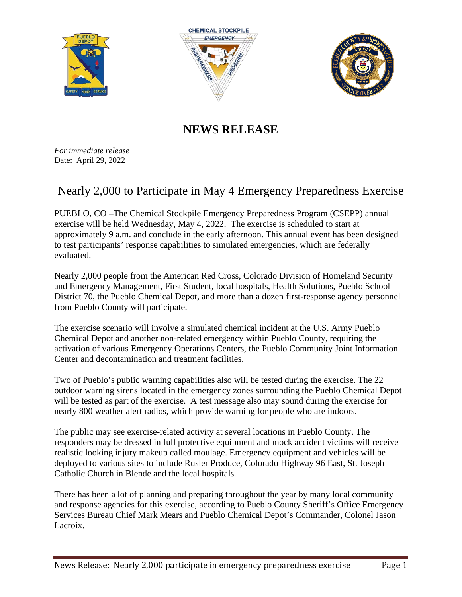





## **NEWS RELEASE**

*For immediate release* Date: April 29, 2022

## Nearly 2,000 to Participate in May 4 Emergency Preparedness Exercise

PUEBLO, CO –The Chemical Stockpile Emergency Preparedness Program (CSEPP) annual exercise will be held Wednesday, May 4, 2022. The exercise is scheduled to start at approximately 9 a.m. and conclude in the early afternoon. This annual event has been designed to test participants' response capabilities to simulated emergencies, which are federally evaluated.

Nearly 2,000 people from the American Red Cross, Colorado Division of Homeland Security and Emergency Management, First Student, local hospitals, Health Solutions, Pueblo School District 70, the Pueblo Chemical Depot, and more than a dozen first-response agency personnel from Pueblo County will participate.

The exercise scenario will involve a simulated chemical incident at the U.S. Army Pueblo Chemical Depot and another non-related emergency within Pueblo County, requiring the activation of various Emergency Operations Centers, the Pueblo Community Joint Information Center and decontamination and treatment facilities.

Two of Pueblo's public warning capabilities also will be tested during the exercise. The 22 outdoor warning sirens located in the emergency zones surrounding the Pueblo Chemical Depot will be tested as part of the exercise. A test message also may sound during the exercise for nearly 800 weather alert radios, which provide warning for people who are indoors.

The public may see exercise-related activity at several locations in Pueblo County. The responders may be dressed in full protective equipment and mock accident victims will receive realistic looking injury makeup called moulage. Emergency equipment and vehicles will be deployed to various sites to include Rusler Produce, Colorado Highway 96 East, St. Joseph Catholic Church in Blende and the local hospitals.

There has been a lot of planning and preparing throughout the year by many local community and response agencies for this exercise, according to Pueblo County Sheriff's Office Emergency Services Bureau Chief Mark Mears and Pueblo Chemical Depot's Commander, Colonel Jason Lacroix.